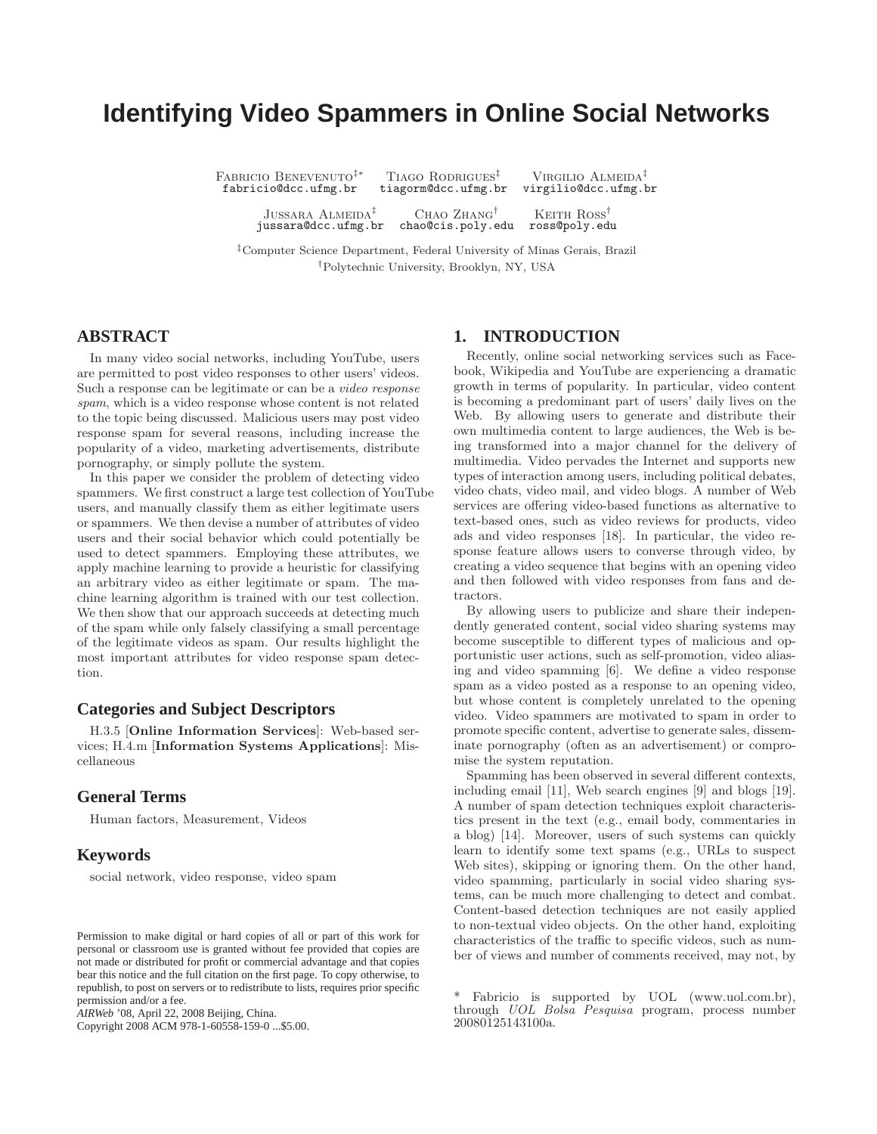# **Identifying Video Spammers in Online Social Networks**

FABRICIO BENEVENUTO<sup>‡∗</sup> TIAGO RODRIGUES<sup>‡</sup> VIRGILIO ALMEIDA<sup>‡</sup><br>fabricio@dcc.ufmg.br tiagorm@dcc.ufmg.br virgilio@dcc.ufmg.b

virgilio@dcc.ufmg.br

JUSSARA ALMEIDA<sup>‡</sup> CHAO ZHANG<sup>†</sup> KEITH ROSS<sup>†</sup> jussara@dcc.ufmg.br chao@cis.poly.edu ross@poly.edu

‡Computer Science Department, Federal University of Minas Gerais, Brazil †Polytechnic University, Brooklyn, NY, USA

## **ABSTRACT**

In many video social networks, including YouTube, users are permitted to post video responses to other users' videos. Such a response can be legitimate or can be a video response spam, which is a video response whose content is not related to the topic being discussed. Malicious users may post video response spam for several reasons, including increase the popularity of a video, marketing advertisements, distribute pornography, or simply pollute the system.

In this paper we consider the problem of detecting video spammers. We first construct a large test collection of YouTube users, and manually classify them as either legitimate users or spammers. We then devise a number of attributes of video users and their social behavior which could potentially be used to detect spammers. Employing these attributes, we apply machine learning to provide a heuristic for classifying an arbitrary video as either legitimate or spam. The machine learning algorithm is trained with our test collection. We then show that our approach succeeds at detecting much of the spam while only falsely classifying a small percentage of the legitimate videos as spam. Our results highlight the most important attributes for video response spam detection.

# **Categories and Subject Descriptors**

H.3.5 [Online Information Services]: Web-based services; H.4.m [Information Systems Applications]: Miscellaneous

# **General Terms**

Human factors, Measurement, Videos

## **Keywords**

social network, video response, video spam

Copyright 2008 ACM 978-1-60558-159-0 ...\$5.00.

## **1. INTRODUCTION**

Recently, online social networking services such as Facebook, Wikipedia and YouTube are experiencing a dramatic growth in terms of popularity. In particular, video content is becoming a predominant part of users' daily lives on the Web. By allowing users to generate and distribute their own multimedia content to large audiences, the Web is being transformed into a major channel for the delivery of multimedia. Video pervades the Internet and supports new types of interaction among users, including political debates, video chats, video mail, and video blogs. A number of Web services are offering video-based functions as alternative to text-based ones, such as video reviews for products, video ads and video responses [18]. In particular, the video response feature allows users to converse through video, by creating a video sequence that begins with an opening video and then followed with video responses from fans and detractors.

By allowing users to publicize and share their independently generated content, social video sharing systems may become susceptible to different types of malicious and opportunistic user actions, such as self-promotion, video aliasing and video spamming [6]. We define a video response spam as a video posted as a response to an opening video, but whose content is completely unrelated to the opening video. Video spammers are motivated to spam in order to promote specific content, advertise to generate sales, disseminate pornography (often as an advertisement) or compromise the system reputation.

Spamming has been observed in several different contexts, including email [11], Web search engines [9] and blogs [19]. A number of spam detection techniques exploit characteristics present in the text (e.g., email body, commentaries in a blog) [14]. Moreover, users of such systems can quickly learn to identify some text spams (e.g., URLs to suspect Web sites), skipping or ignoring them. On the other hand, video spamming, particularly in social video sharing systems, can be much more challenging to detect and combat. Content-based detection techniques are not easily applied to non-textual video objects. On the other hand, exploiting characteristics of the traffic to specific videos, such as number of views and number of comments received, may not, by

Permission to make digital or hard copies of all or part of this work for personal or classroom use is granted without fee provided that copies are not made or distributed for profit or commercial advantage and that copies bear this notice and the full citation on the first page. To copy otherwise, to republish, to post on servers or to redistribute to lists, requires prior specific permission and/or a fee.

*AIRWeb* '08, April 22, 2008 Beijing, China.

Fabricio is supported by UOL (www.uol.com.br), through UOL Bolsa Pesquisa program, process number 20080125143100a.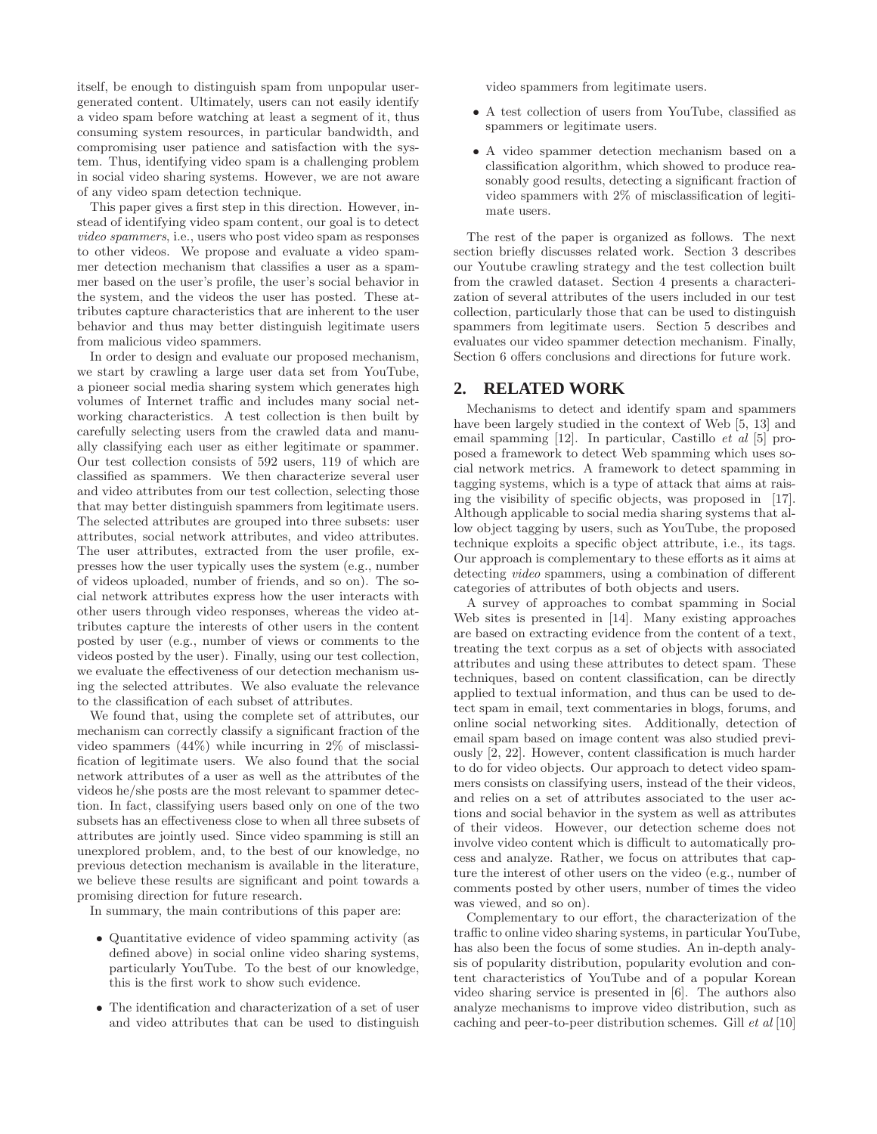itself, be enough to distinguish spam from unpopular usergenerated content. Ultimately, users can not easily identify a video spam before watching at least a segment of it, thus consuming system resources, in particular bandwidth, and compromising user patience and satisfaction with the system. Thus, identifying video spam is a challenging problem in social video sharing systems. However, we are not aware of any video spam detection technique.

This paper gives a first step in this direction. However, instead of identifying video spam content, our goal is to detect video spammers, i.e., users who post video spam as responses to other videos. We propose and evaluate a video spammer detection mechanism that classifies a user as a spammer based on the user's profile, the user's social behavior in the system, and the videos the user has posted. These attributes capture characteristics that are inherent to the user behavior and thus may better distinguish legitimate users from malicious video spammers.

In order to design and evaluate our proposed mechanism, we start by crawling a large user data set from YouTube, a pioneer social media sharing system which generates high volumes of Internet traffic and includes many social networking characteristics. A test collection is then built by carefully selecting users from the crawled data and manually classifying each user as either legitimate or spammer. Our test collection consists of 592 users, 119 of which are classified as spammers. We then characterize several user and video attributes from our test collection, selecting those that may better distinguish spammers from legitimate users. The selected attributes are grouped into three subsets: user attributes, social network attributes, and video attributes. The user attributes, extracted from the user profile, expresses how the user typically uses the system (e.g., number of videos uploaded, number of friends, and so on). The social network attributes express how the user interacts with other users through video responses, whereas the video attributes capture the interests of other users in the content posted by user (e.g., number of views or comments to the videos posted by the user). Finally, using our test collection, we evaluate the effectiveness of our detection mechanism using the selected attributes. We also evaluate the relevance to the classification of each subset of attributes.

We found that, using the complete set of attributes, our mechanism can correctly classify a significant fraction of the video spammers (44%) while incurring in 2% of misclassification of legitimate users. We also found that the social network attributes of a user as well as the attributes of the videos he/she posts are the most relevant to spammer detection. In fact, classifying users based only on one of the two subsets has an effectiveness close to when all three subsets of attributes are jointly used. Since video spamming is still an unexplored problem, and, to the best of our knowledge, no previous detection mechanism is available in the literature, we believe these results are significant and point towards a promising direction for future research.

In summary, the main contributions of this paper are:

- Quantitative evidence of video spamming activity (as defined above) in social online video sharing systems, particularly YouTube. To the best of our knowledge, this is the first work to show such evidence.
- The identification and characterization of a set of user and video attributes that can be used to distinguish

video spammers from legitimate users.

- A test collection of users from YouTube, classified as spammers or legitimate users.
- A video spammer detection mechanism based on a classification algorithm, which showed to produce reasonably good results, detecting a significant fraction of video spammers with 2% of misclassification of legitimate users.

The rest of the paper is organized as follows. The next section briefly discusses related work. Section 3 describes our Youtube crawling strategy and the test collection built from the crawled dataset. Section 4 presents a characterization of several attributes of the users included in our test collection, particularly those that can be used to distinguish spammers from legitimate users. Section 5 describes and evaluates our video spammer detection mechanism. Finally, Section 6 offers conclusions and directions for future work.

## **2. RELATED WORK**

Mechanisms to detect and identify spam and spammers have been largely studied in the context of Web [5, 13] and email spamming [12]. In particular, Castillo et al [5] proposed a framework to detect Web spamming which uses social network metrics. A framework to detect spamming in tagging systems, which is a type of attack that aims at raising the visibility of specific objects, was proposed in [17]. Although applicable to social media sharing systems that allow object tagging by users, such as YouTube, the proposed technique exploits a specific object attribute, i.e., its tags. Our approach is complementary to these efforts as it aims at detecting video spammers, using a combination of different categories of attributes of both objects and users.

A survey of approaches to combat spamming in Social Web sites is presented in [14]. Many existing approaches are based on extracting evidence from the content of a text, treating the text corpus as a set of objects with associated attributes and using these attributes to detect spam. These techniques, based on content classification, can be directly applied to textual information, and thus can be used to detect spam in email, text commentaries in blogs, forums, and online social networking sites. Additionally, detection of email spam based on image content was also studied previously [2, 22]. However, content classification is much harder to do for video objects. Our approach to detect video spammers consists on classifying users, instead of the their videos, and relies on a set of attributes associated to the user actions and social behavior in the system as well as attributes of their videos. However, our detection scheme does not involve video content which is difficult to automatically process and analyze. Rather, we focus on attributes that capture the interest of other users on the video (e.g., number of comments posted by other users, number of times the video was viewed, and so on).

Complementary to our effort, the characterization of the traffic to online video sharing systems, in particular YouTube, has also been the focus of some studies. An in-depth analysis of popularity distribution, popularity evolution and content characteristics of YouTube and of a popular Korean video sharing service is presented in [6]. The authors also analyze mechanisms to improve video distribution, such as caching and peer-to-peer distribution schemes. Gill et al [10]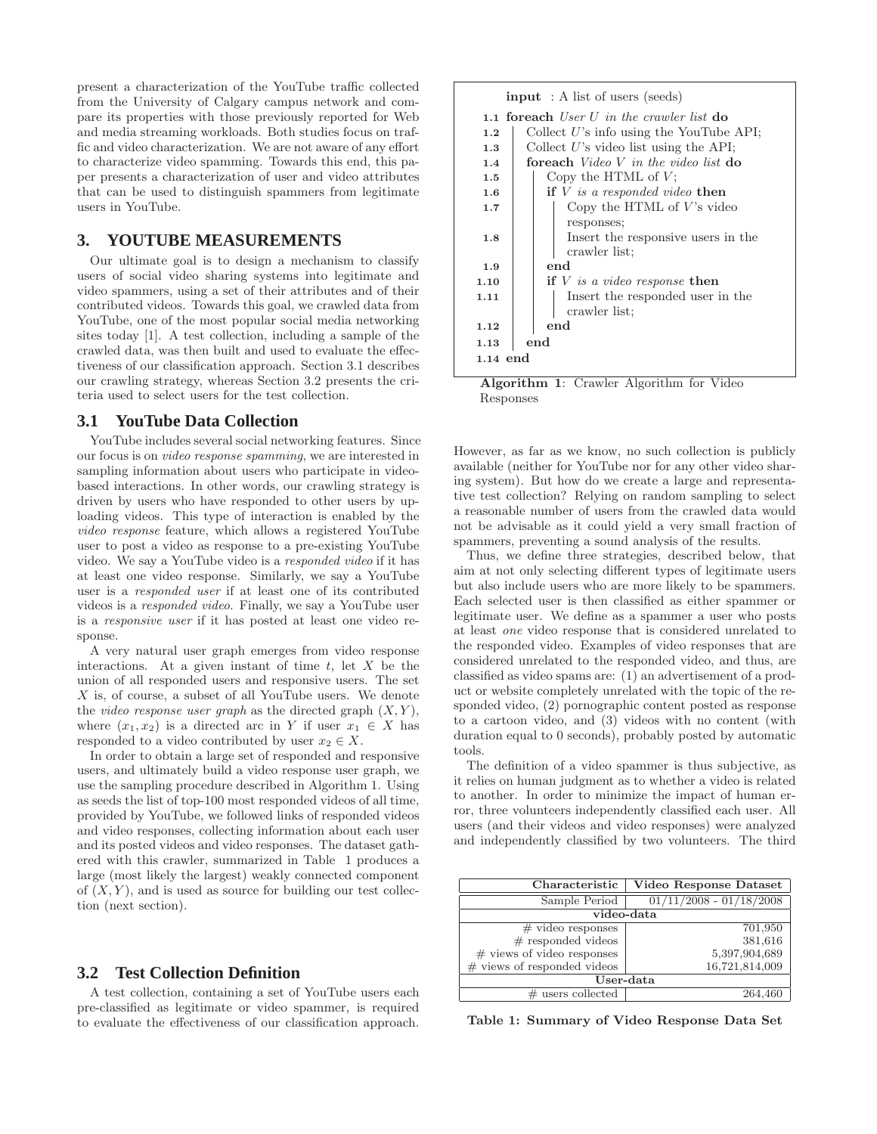present a characterization of the YouTube traffic collected from the University of Calgary campus network and compare its properties with those previously reported for Web and media streaming workloads. Both studies focus on traffic and video characterization. We are not aware of any effort to characterize video spamming. Towards this end, this paper presents a characterization of user and video attributes that can be used to distinguish spammers from legitimate users in YouTube.

## **3. YOUTUBE MEASUREMENTS**

Our ultimate goal is to design a mechanism to classify users of social video sharing systems into legitimate and video spammers, using a set of their attributes and of their contributed videos. Towards this goal, we crawled data from YouTube, one of the most popular social media networking sites today [1]. A test collection, including a sample of the crawled data, was then built and used to evaluate the effectiveness of our classification approach. Section 3.1 describes our crawling strategy, whereas Section 3.2 presents the criteria used to select users for the test collection.

## **3.1 YouTube Data Collection**

YouTube includes several social networking features. Since our focus is on video response spamming, we are interested in sampling information about users who participate in videobased interactions. In other words, our crawling strategy is driven by users who have responded to other users by uploading videos. This type of interaction is enabled by the video response feature, which allows a registered YouTube user to post a video as response to a pre-existing YouTube video. We say a YouTube video is a responded video if it has at least one video response. Similarly, we say a YouTube user is a responded user if at least one of its contributed videos is a responded video. Finally, we say a YouTube user is a responsive user if it has posted at least one video response.

A very natural user graph emerges from video response interactions. At a given instant of time  $t$ , let  $X$  be the union of all responded users and responsive users. The set X is, of course, a subset of all YouTube users. We denote the *video response user graph* as the directed graph  $(X, Y)$ , where  $(x_1, x_2)$  is a directed arc in Y if user  $x_1 \in X$  has responded to a video contributed by user  $x_2 \in X$ .

In order to obtain a large set of responded and responsive users, and ultimately build a video response user graph, we use the sampling procedure described in Algorithm 1. Using as seeds the list of top-100 most responded videos of all time, provided by YouTube, we followed links of responded videos and video responses, collecting information about each user and its posted videos and video responses. The dataset gathered with this crawler, summarized in Table 1 produces a large (most likely the largest) weakly connected component of  $(X, Y)$ , and is used as source for building our test collection (next section).

#### **3.2 Test Collection Definition**

A test collection, containing a set of YouTube users each pre-classified as legitimate or video spammer, is required to evaluate the effectiveness of our classification approach.

| input : A list of users (seeds)            |                                              |  |  |  |
|--------------------------------------------|----------------------------------------------|--|--|--|
| 1.1 for each User U in the crawler list do |                                              |  |  |  |
| 1.2                                        | Collect $U$ 's info using the YouTube API;   |  |  |  |
| 1.3                                        | Collect $U$ 's video list using the API;     |  |  |  |
| 1.4                                        | for each Video V in the video list $\bf{do}$ |  |  |  |
| 1.5                                        | Copy the HTML of $V$ ;                       |  |  |  |
| 1.6                                        | if $V$ is a responded video then             |  |  |  |
| 1.7                                        | Copy the HTML of $V$ 's video                |  |  |  |
|                                            | responses;                                   |  |  |  |
| 1.8                                        | Insert the responsive users in the           |  |  |  |
|                                            | crawler list;                                |  |  |  |
| 1.9                                        | end                                          |  |  |  |
| 1.10                                       | if V is a video response then                |  |  |  |
| 1.11                                       | Insert the responded user in the             |  |  |  |
|                                            | crawler list:                                |  |  |  |
| 1.12                                       | end                                          |  |  |  |
| 1.13                                       | end                                          |  |  |  |
| 1.14 end                                   |                                              |  |  |  |

Algorithm 1: Crawler Algorithm for Video Responses

However, as far as we know, no such collection is publicly available (neither for YouTube nor for any other video sharing system). But how do we create a large and representative test collection? Relying on random sampling to select a reasonable number of users from the crawled data would not be advisable as it could yield a very small fraction of spammers, preventing a sound analysis of the results.

Thus, we define three strategies, described below, that aim at not only selecting different types of legitimate users but also include users who are more likely to be spammers. Each selected user is then classified as either spammer or legitimate user. We define as a spammer a user who posts at least one video response that is considered unrelated to the responded video. Examples of video responses that are considered unrelated to the responded video, and thus, are classified as video spams are: (1) an advertisement of a product or website completely unrelated with the topic of the responded video, (2) pornographic content posted as response to a cartoon video, and (3) videos with no content (with duration equal to 0 seconds), probably posted by automatic tools.

The definition of a video spammer is thus subjective, as it relies on human judgment as to whether a video is related to another. In order to minimize the impact of human error, three volunteers independently classified each user. All users (and their videos and video responses) were analyzed and independently classified by two volunteers. The third

| Characteristic                 | Video Response Dataset    |  |  |
|--------------------------------|---------------------------|--|--|
| Sample Period                  | $01/11/2008 - 01/18/2008$ |  |  |
| video-data                     |                           |  |  |
| $#$ video responses            | 701,950                   |  |  |
| $#$ responded videos           | 381,616                   |  |  |
| $#$ views of video responses   | 5,397,904,689             |  |  |
| $\#$ views of responded videos | 16,721,814,009            |  |  |
| User-data                      |                           |  |  |
| $#$ users collected            | 264.460                   |  |  |

Table 1: Summary of Video Response Data Set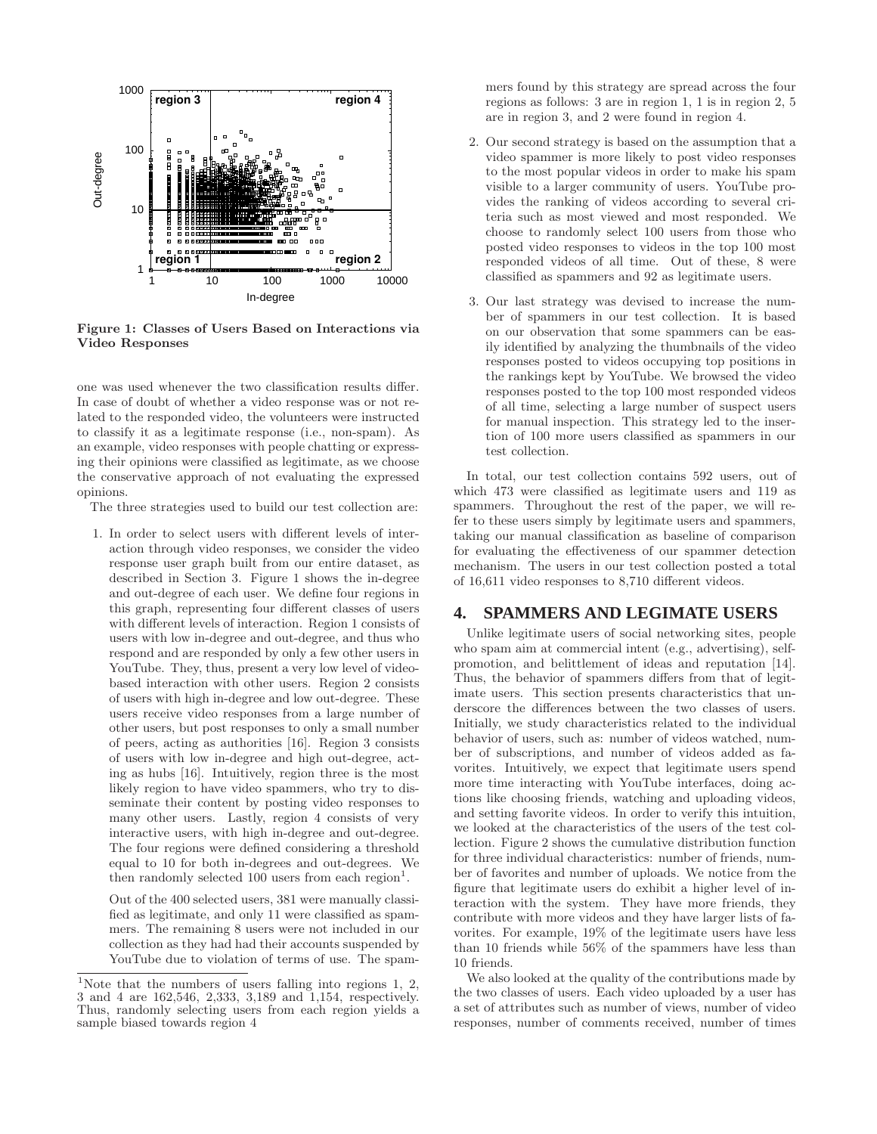

Figure 1: Classes of Users Based on Interactions via Video Responses

one was used whenever the two classification results differ. In case of doubt of whether a video response was or not related to the responded video, the volunteers were instructed to classify it as a legitimate response (i.e., non-spam). As an example, video responses with people chatting or expressing their opinions were classified as legitimate, as we choose the conservative approach of not evaluating the expressed opinions.

The three strategies used to build our test collection are:

1. In order to select users with different levels of interaction through video responses, we consider the video response user graph built from our entire dataset, as described in Section 3. Figure 1 shows the in-degree and out-degree of each user. We define four regions in this graph, representing four different classes of users with different levels of interaction. Region 1 consists of users with low in-degree and out-degree, and thus who respond and are responded by only a few other users in YouTube. They, thus, present a very low level of videobased interaction with other users. Region 2 consists of users with high in-degree and low out-degree. These users receive video responses from a large number of other users, but post responses to only a small number of peers, acting as authorities [16]. Region 3 consists of users with low in-degree and high out-degree, acting as hubs [16]. Intuitively, region three is the most likely region to have video spammers, who try to disseminate their content by posting video responses to many other users. Lastly, region 4 consists of very interactive users, with high in-degree and out-degree. The four regions were defined considering a threshold equal to 10 for both in-degrees and out-degrees. We then randomly selected  $100$  users from each region<sup>1</sup>.

Out of the 400 selected users, 381 were manually classified as legitimate, and only 11 were classified as spammers. The remaining 8 users were not included in our collection as they had had their accounts suspended by YouTube due to violation of terms of use. The spammers found by this strategy are spread across the four regions as follows: 3 are in region 1, 1 is in region 2, 5 are in region 3, and 2 were found in region 4.

- 2. Our second strategy is based on the assumption that a video spammer is more likely to post video responses to the most popular videos in order to make his spam visible to a larger community of users. YouTube provides the ranking of videos according to several criteria such as most viewed and most responded. We choose to randomly select 100 users from those who posted video responses to videos in the top 100 most responded videos of all time. Out of these, 8 were classified as spammers and 92 as legitimate users.
- 3. Our last strategy was devised to increase the number of spammers in our test collection. It is based on our observation that some spammers can be easily identified by analyzing the thumbnails of the video responses posted to videos occupying top positions in the rankings kept by YouTube. We browsed the video responses posted to the top 100 most responded videos of all time, selecting a large number of suspect users for manual inspection. This strategy led to the insertion of 100 more users classified as spammers in our test collection.

In total, our test collection contains 592 users, out of which 473 were classified as legitimate users and 119 as spammers. Throughout the rest of the paper, we will refer to these users simply by legitimate users and spammers, taking our manual classification as baseline of comparison for evaluating the effectiveness of our spammer detection mechanism. The users in our test collection posted a total of 16,611 video responses to 8,710 different videos.

## **4. SPAMMERS AND LEGIMATE USERS**

Unlike legitimate users of social networking sites, people who spam aim at commercial intent (e.g., advertising), selfpromotion, and belittlement of ideas and reputation [14]. Thus, the behavior of spammers differs from that of legitimate users. This section presents characteristics that underscore the differences between the two classes of users. Initially, we study characteristics related to the individual behavior of users, such as: number of videos watched, number of subscriptions, and number of videos added as favorites. Intuitively, we expect that legitimate users spend more time interacting with YouTube interfaces, doing actions like choosing friends, watching and uploading videos, and setting favorite videos. In order to verify this intuition, we looked at the characteristics of the users of the test collection. Figure 2 shows the cumulative distribution function for three individual characteristics: number of friends, number of favorites and number of uploads. We notice from the figure that legitimate users do exhibit a higher level of interaction with the system. They have more friends, they contribute with more videos and they have larger lists of favorites. For example, 19% of the legitimate users have less than 10 friends while 56% of the spammers have less than 10 friends.

We also looked at the quality of the contributions made by the two classes of users. Each video uploaded by a user has a set of attributes such as number of views, number of video responses, number of comments received, number of times

<sup>&</sup>lt;sup>1</sup>Note that the numbers of users falling into regions 1, 2, 3 and 4 are 162,546, 2,333, 3,189 and 1,154, respectively. Thus, randomly selecting users from each region yields a sample biased towards region 4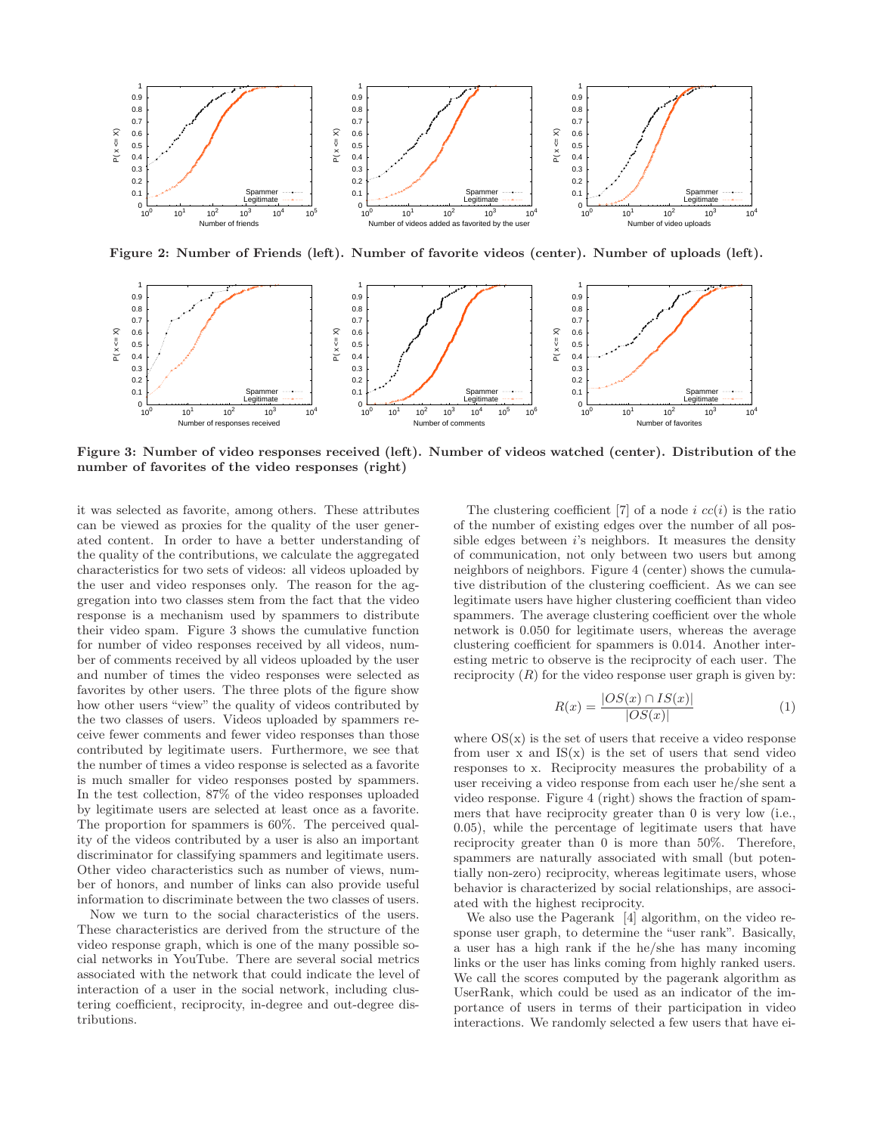

Figure 2: Number of Friends (left). Number of favorite videos (center). Number of uploads (left).



Figure 3: Number of video responses received (left). Number of videos watched (center). Distribution of the number of favorites of the video responses (right)

it was selected as favorite, among others. These attributes can be viewed as proxies for the quality of the user generated content. In order to have a better understanding of the quality of the contributions, we calculate the aggregated characteristics for two sets of videos: all videos uploaded by the user and video responses only. The reason for the aggregation into two classes stem from the fact that the video response is a mechanism used by spammers to distribute their video spam. Figure 3 shows the cumulative function for number of video responses received by all videos, number of comments received by all videos uploaded by the user and number of times the video responses were selected as favorites by other users. The three plots of the figure show how other users "view" the quality of videos contributed by the two classes of users. Videos uploaded by spammers receive fewer comments and fewer video responses than those contributed by legitimate users. Furthermore, we see that the number of times a video response is selected as a favorite is much smaller for video responses posted by spammers. In the test collection, 87% of the video responses uploaded by legitimate users are selected at least once as a favorite. The proportion for spammers is 60%. The perceived quality of the videos contributed by a user is also an important discriminator for classifying spammers and legitimate users. Other video characteristics such as number of views, number of honors, and number of links can also provide useful information to discriminate between the two classes of users.

Now we turn to the social characteristics of the users. These characteristics are derived from the structure of the video response graph, which is one of the many possible social networks in YouTube. There are several social metrics associated with the network that could indicate the level of interaction of a user in the social network, including clustering coefficient, reciprocity, in-degree and out-degree distributions.

The clustering coefficient [7] of a node  $i$   $cc(i)$  is the ratio of the number of existing edges over the number of all possible edges between i's neighbors. It measures the density of communication, not only between two users but among neighbors of neighbors. Figure 4 (center) shows the cumulative distribution of the clustering coefficient. As we can see legitimate users have higher clustering coefficient than video spammers. The average clustering coefficient over the whole network is 0.050 for legitimate users, whereas the average clustering coefficient for spammers is 0.014. Another interesting metric to observe is the reciprocity of each user. The reciprocity  $(R)$  for the video response user graph is given by:

$$
R(x) = \frac{|OS(x) \cap IS(x)|}{|OS(x)|} \tag{1}
$$

where  $OS(x)$  is the set of users that receive a video response from user x and  $IS(x)$  is the set of users that send video responses to x. Reciprocity measures the probability of a user receiving a video response from each user he/she sent a video response. Figure 4 (right) shows the fraction of spammers that have reciprocity greater than 0 is very low (i.e., 0.05), while the percentage of legitimate users that have reciprocity greater than 0 is more than 50%. Therefore, spammers are naturally associated with small (but potentially non-zero) reciprocity, whereas legitimate users, whose behavior is characterized by social relationships, are associated with the highest reciprocity.

We also use the Pagerank [4] algorithm, on the video response user graph, to determine the "user rank". Basically, a user has a high rank if the he/she has many incoming links or the user has links coming from highly ranked users. We call the scores computed by the pagerank algorithm as UserRank, which could be used as an indicator of the importance of users in terms of their participation in video interactions. We randomly selected a few users that have ei-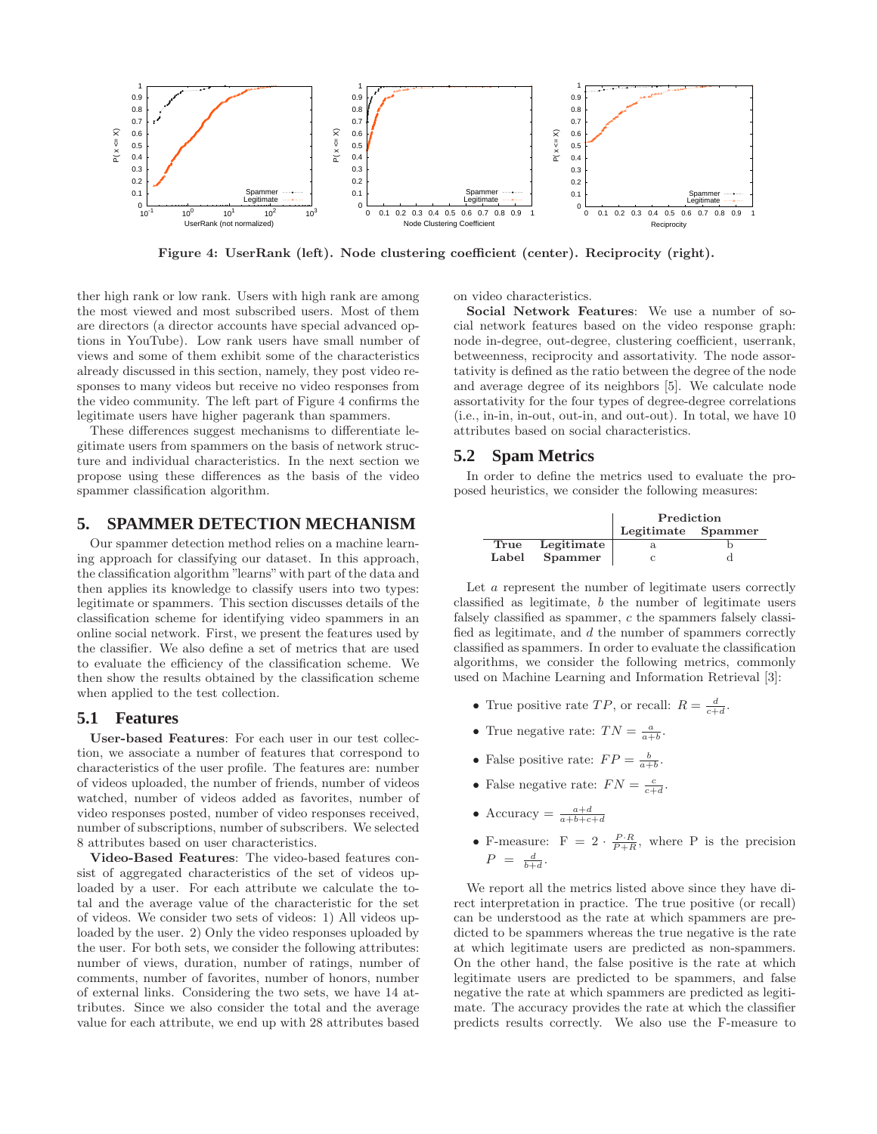

Figure 4: UserRank (left). Node clustering coefficient (center). Reciprocity (right).

ther high rank or low rank. Users with high rank are among the most viewed and most subscribed users. Most of them are directors (a director accounts have special advanced options in YouTube). Low rank users have small number of views and some of them exhibit some of the characteristics already discussed in this section, namely, they post video responses to many videos but receive no video responses from the video community. The left part of Figure 4 confirms the legitimate users have higher pagerank than spammers.

These differences suggest mechanisms to differentiate legitimate users from spammers on the basis of network structure and individual characteristics. In the next section we propose using these differences as the basis of the video spammer classification algorithm.

## **5. SPAMMER DETECTION MECHANISM**

Our spammer detection method relies on a machine learning approach for classifying our dataset. In this approach, the classification algorithm "learns"with part of the data and then applies its knowledge to classify users into two types: legitimate or spammers. This section discusses details of the classification scheme for identifying video spammers in an online social network. First, we present the features used by the classifier. We also define a set of metrics that are used to evaluate the efficiency of the classification scheme. We then show the results obtained by the classification scheme when applied to the test collection.

#### **5.1 Features**

User-based Features: For each user in our test collection, we associate a number of features that correspond to characteristics of the user profile. The features are: number of videos uploaded, the number of friends, number of videos watched, number of videos added as favorites, number of video responses posted, number of video responses received, number of subscriptions, number of subscribers. We selected 8 attributes based on user characteristics.

Video-Based Features: The video-based features consist of aggregated characteristics of the set of videos uploaded by a user. For each attribute we calculate the total and the average value of the characteristic for the set of videos. We consider two sets of videos: 1) All videos uploaded by the user. 2) Only the video responses uploaded by the user. For both sets, we consider the following attributes: number of views, duration, number of ratings, number of comments, number of favorites, number of honors, number of external links. Considering the two sets, we have 14 attributes. Since we also consider the total and the average value for each attribute, we end up with 28 attributes based on video characteristics.

Social Network Features: We use a number of social network features based on the video response graph: node in-degree, out-degree, clustering coefficient, userrank, betweenness, reciprocity and assortativity. The node assortativity is defined as the ratio between the degree of the node and average degree of its neighbors [5]. We calculate node assortativity for the four types of degree-degree correlations (i.e., in-in, in-out, out-in, and out-out). In total, we have 10 attributes based on social characteristics.

#### **5.2 Spam Metrics**

In order to define the metrics used to evaluate the proposed heuristics, we consider the following measures:

|       |            | Prediction         |  |  |
|-------|------------|--------------------|--|--|
|       |            | Legitimate Spammer |  |  |
| True  | Legitimate |                    |  |  |
| Label | Spammer    |                    |  |  |

Let a represent the number of legitimate users correctly classified as legitimate, b the number of legitimate users falsely classified as spammer, c the spammers falsely classified as legitimate, and d the number of spammers correctly classified as spammers. In order to evaluate the classification algorithms, we consider the following metrics, commonly used on Machine Learning and Information Retrieval [3]:

- True positive rate  $TP$ , or recall:  $R = \frac{d}{c+d}$ .
- True negative rate:  $TN = \frac{a}{a+b}$ .
- False positive rate:  $FP = \frac{b}{a+b}$ .
- False negative rate:  $FN = \frac{c}{c+d}$ .
- Accuracy  $=$   $\frac{a+d}{a+b+c+d}$
- F-measure:  $F = 2 \cdot \frac{P \cdot R}{P + R}$ , where P is the precision  $P = \frac{d}{b+d}$ .

We report all the metrics listed above since they have direct interpretation in practice. The true positive (or recall) can be understood as the rate at which spammers are predicted to be spammers whereas the true negative is the rate at which legitimate users are predicted as non-spammers. On the other hand, the false positive is the rate at which legitimate users are predicted to be spammers, and false negative the rate at which spammers are predicted as legitimate. The accuracy provides the rate at which the classifier predicts results correctly. We also use the F-measure to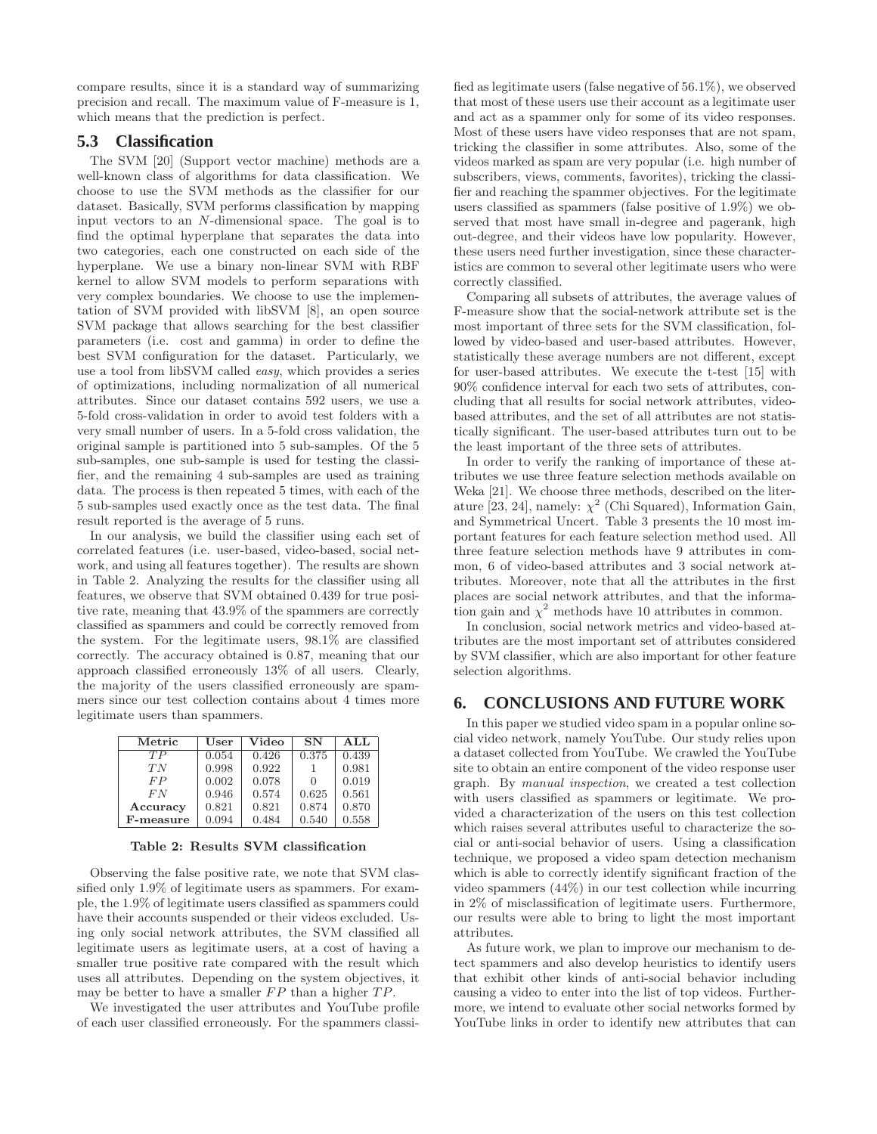compare results, since it is a standard way of summarizing precision and recall. The maximum value of F-measure is 1, which means that the prediction is perfect.

## **5.3 Classification**

The SVM [20] (Support vector machine) methods are a well-known class of algorithms for data classification. We choose to use the SVM methods as the classifier for our dataset. Basically, SVM performs classification by mapping input vectors to an N-dimensional space. The goal is to find the optimal hyperplane that separates the data into two categories, each one constructed on each side of the hyperplane. We use a binary non-linear SVM with RBF kernel to allow SVM models to perform separations with very complex boundaries. We choose to use the implementation of SVM provided with libSVM [8], an open source SVM package that allows searching for the best classifier parameters (i.e. cost and gamma) in order to define the best SVM configuration for the dataset. Particularly, we use a tool from libSVM called easy, which provides a series of optimizations, including normalization of all numerical attributes. Since our dataset contains 592 users, we use a 5-fold cross-validation in order to avoid test folders with a very small number of users. In a 5-fold cross validation, the original sample is partitioned into 5 sub-samples. Of the 5 sub-samples, one sub-sample is used for testing the classifier, and the remaining 4 sub-samples are used as training data. The process is then repeated 5 times, with each of the 5 sub-samples used exactly once as the test data. The final result reported is the average of 5 runs.

In our analysis, we build the classifier using each set of correlated features (i.e. user-based, video-based, social network, and using all features together). The results are shown in Table 2. Analyzing the results for the classifier using all features, we observe that SVM obtained 0.439 for true positive rate, meaning that 43.9% of the spammers are correctly classified as spammers and could be correctly removed from the system. For the legitimate users, 98.1% are classified correctly. The accuracy obtained is 0.87, meaning that our approach classified erroneously 13% of all users. Clearly, the majority of the users classified erroneously are spammers since our test collection contains about 4 times more legitimate users than spammers.

| Metric             | User  | Video | SN    | ALI   |
|--------------------|-------|-------|-------|-------|
| TP                 | 0.054 | 0.426 | 0.375 | 0.439 |
| TN                 | 0.998 | 0.922 |       | 0.981 |
| FP                 | 0.002 | 0.078 | 0     | 0.019 |
| FN                 | 0.946 | 0.574 | 0.625 | 0.561 |
| Accuracy           | 0.821 | 0.821 | 0.874 | 0.870 |
| $_{\rm F-measure}$ | 0.094 | 0.484 | 0.540 | 0.558 |

Table 2: Results SVM classification

Observing the false positive rate, we note that SVM classified only 1.9% of legitimate users as spammers. For example, the 1.9% of legitimate users classified as spammers could have their accounts suspended or their videos excluded. Using only social network attributes, the SVM classified all legitimate users as legitimate users, at a cost of having a smaller true positive rate compared with the result which uses all attributes. Depending on the system objectives, it may be better to have a smaller  $FP$  than a higher  $TP$ .

We investigated the user attributes and YouTube profile of each user classified erroneously. For the spammers classified as legitimate users (false negative of 56.1%), we observed that most of these users use their account as a legitimate user and act as a spammer only for some of its video responses. Most of these users have video responses that are not spam, tricking the classifier in some attributes. Also, some of the videos marked as spam are very popular (i.e. high number of subscribers, views, comments, favorites), tricking the classifier and reaching the spammer objectives. For the legitimate users classified as spammers (false positive of 1.9%) we observed that most have small in-degree and pagerank, high out-degree, and their videos have low popularity. However, these users need further investigation, since these characteristics are common to several other legitimate users who were correctly classified.

Comparing all subsets of attributes, the average values of F-measure show that the social-network attribute set is the most important of three sets for the SVM classification, followed by video-based and user-based attributes. However, statistically these average numbers are not different, except for user-based attributes. We execute the t-test [15] with 90% confidence interval for each two sets of attributes, concluding that all results for social network attributes, videobased attributes, and the set of all attributes are not statistically significant. The user-based attributes turn out to be the least important of the three sets of attributes.

In order to verify the ranking of importance of these attributes we use three feature selection methods available on Weka [21]. We choose three methods, described on the literature [23, 24], namely:  $\chi^2$  (Chi Squared), Information Gain, and Symmetrical Uncert. Table 3 presents the 10 most important features for each feature selection method used. All three feature selection methods have 9 attributes in common, 6 of video-based attributes and 3 social network attributes. Moreover, note that all the attributes in the first places are social network attributes, and that the information gain and  $\chi^2$  methods have 10 attributes in common.

In conclusion, social network metrics and video-based attributes are the most important set of attributes considered by SVM classifier, which are also important for other feature selection algorithms.

## **6. CONCLUSIONS AND FUTURE WORK**

In this paper we studied video spam in a popular online social video network, namely YouTube. Our study relies upon a dataset collected from YouTube. We crawled the YouTube site to obtain an entire component of the video response user graph. By manual inspection, we created a test collection with users classified as spammers or legitimate. We provided a characterization of the users on this test collection which raises several attributes useful to characterize the social or anti-social behavior of users. Using a classification technique, we proposed a video spam detection mechanism which is able to correctly identify significant fraction of the video spammers (44%) in our test collection while incurring in 2% of misclassification of legitimate users. Furthermore, our results were able to bring to light the most important attributes.

As future work, we plan to improve our mechanism to detect spammers and also develop heuristics to identify users that exhibit other kinds of anti-social behavior including causing a video to enter into the list of top videos. Furthermore, we intend to evaluate other social networks formed by YouTube links in order to identify new attributes that can